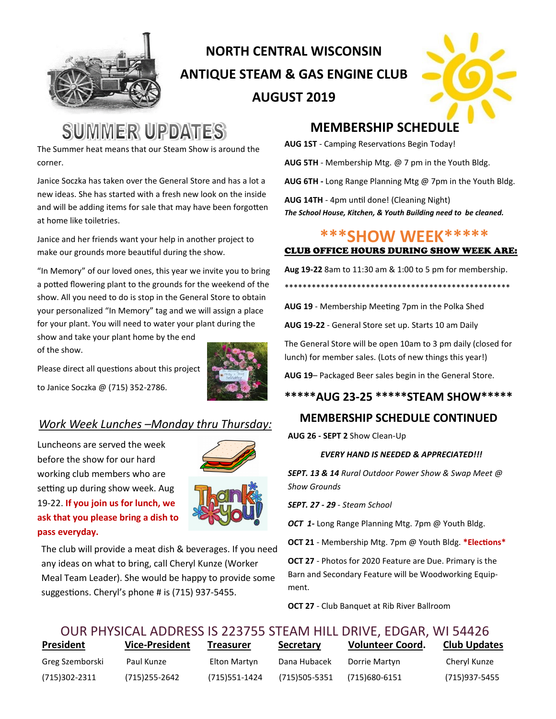

# **NORTH CENTRAL WISCONSIN ANTIQUE STEAM & GAS ENGINE CLUB AUGUST 2019**



# **SUMMER UPDATES**

The Summer heat means that our Steam Show is around the corner.

Janice Soczka has taken over the General Store and has a lot a new ideas. She has started with a fresh new look on the inside and will be adding items for sale that may have been forgotten at home like toiletries.

Janice and her friends want your help in another project to make our grounds more beautiful during the show.

"In Memory" of our loved ones, this year we invite you to bring a potted flowering plant to the grounds for the weekend of the show. All you need to do is stop in the General Store to obtain your personalized "In Memory" tag and we will assign a place for your plant. You will need to water your plant during the

show and take your plant home by the end of the show.

Please direct all questions about this project

to Janice Soczka @ (715) 352-2786.



### *Work Week Lunches –Monday thru Thursday:*

Luncheons are served the week before the show for our hard working club members who are setting up during show week. Aug 19-22. **If you join us for lunch, we ask that you please bring a dish to pass everyday.**



The club will provide a meat dish & beverages. If you need any ideas on what to bring, call Cheryl Kunze (Worker Meal Team Leader). She would be happy to provide some suggestions. Cheryl's phone # is (715) 937-5455.

## **MEMBERSHIP SCHEDULE**

**AUG 1ST** - Camping Reservations Begin Today!

**AUG 5TH** - Membership Mtg. @ 7 pm in the Youth Bldg.

**AUG 6TH -** Long Range Planning Mtg @ 7pm in the Youth Bldg.

**AUG 14TH** - 4pm until done! (Cleaning Night) *The School House, Kitchen, & Youth Building need to be cleaned.* 

## **\*\*\*SHOW WEEK\*\*\*\*\***

#### CLUB OFFICE HOURS DURING SHOW WEEK ARE:

**Aug 19-22** 8am to 11:30 am & 1:00 to 5 pm for membership.

\*\*\*\*\*\*\*\*\*\*\*\*\*\*\*\*\*\*\*\*\*\*\*\*\*\*\*\*\*\*\*\*\*\*\*\*\*\*\*\*\*\*\*\*\*\*\*\*\*\*

**AUG 19** - Membership Meeting 7pm in the Polka Shed

**AUG 19-22** - General Store set up. Starts 10 am Daily

The General Store will be open 10am to 3 pm daily (closed for lunch) for member sales. (Lots of new things this year!)

**AUG 19**– Packaged Beer sales begin in the General Store.

#### **\*\*\*\*\*AUG 23-25 \*\*\*\*\*STEAM SHOW\*\*\*\*\***

#### **MEMBERSHIP SCHEDULE CONTINUED**

**AUG 26 - SEPT 2** Show Clean-Up

#### *EVERY HAND IS NEEDED & APPRECIATED!!!*

*SEPT. 13 & 14 Rural Outdoor Power Show & Swap Meet @ Show Grounds*

*SEPT. 27 - 29 - Steam School*

*OCT 1-* Long Range Planning Mtg. 7pm @ Youth Bldg.

**OCT 21** - Membership Mtg. 7pm @ Youth Bldg. **\*Elections\***

**OCT 27** - Photos for 2020 Feature are Due. Primary is the Barn and Secondary Feature will be Woodworking Equipment.

**OCT 27** - Club Banquet at Rib River Ballroom

## **President Vice-President Treasurer Secretary Volunteer Coord. Club Updates** Greg Szemborski Paul Kunze Elton Martyn Dana Hubacek Dorrie Martyn Cheryl Kunze OUR PHYSICAL ADDRESS IS 223755 STEAM HILL DRIVE, EDGAR, WI 54426

(715)302-2311 (715)255-2642 (715)551-1424 (715)505-5351 (715)680-6151 (715)937-5455